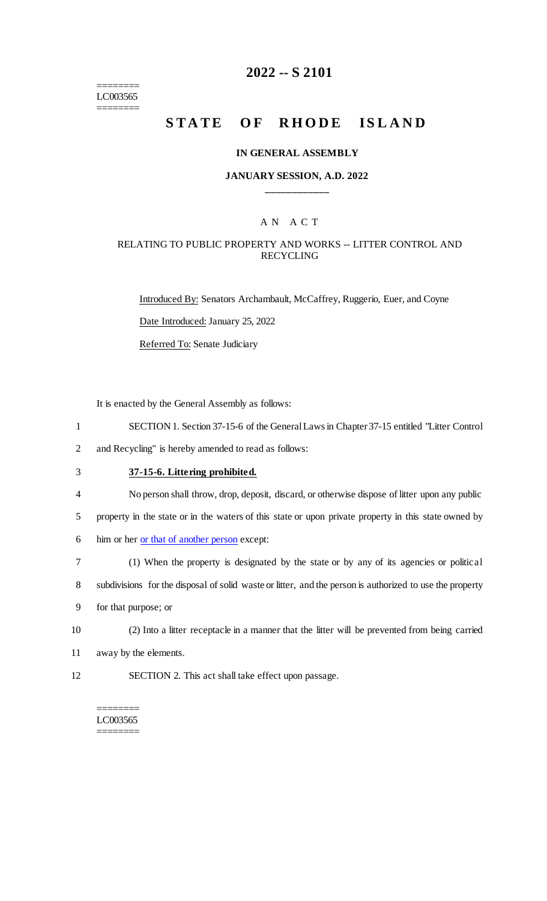======== LC003565 ========

## **2022 -- S 2101**

# **STATE OF RHODE ISLAND**

#### **IN GENERAL ASSEMBLY**

### **JANUARY SESSION, A.D. 2022 \_\_\_\_\_\_\_\_\_\_\_\_**

## A N A C T

### RELATING TO PUBLIC PROPERTY AND WORKS -- LITTER CONTROL AND RECYCLING

Introduced By: Senators Archambault, McCaffrey, Ruggerio, Euer, and Coyne Date Introduced: January 25, 2022 Referred To: Senate Judiciary

It is enacted by the General Assembly as follows:

- 1 SECTION 1. Section 37-15-6 of the General Laws in Chapter 37-15 entitled "Litter Control
- 2 and Recycling" is hereby amended to read as follows:
- 3 **37-15-6. Littering prohibited.**
- 4 No person shall throw, drop, deposit, discard, or otherwise dispose of litter upon any public
- 5 property in the state or in the waters of this state or upon private property in this state owned by
- 6 him or her <u>or that of another person</u> except:
- 7 (1) When the property is designated by the state or by any of its agencies or political

8 subdivisions for the disposal of solid waste or litter, and the person is authorized to use the property

- 9 for that purpose; or
- 10 (2) Into a litter receptacle in a manner that the litter will be prevented from being carried
- 11 away by the elements.
- 12 SECTION 2. This act shall take effect upon passage.

#### ======== LC003565 ========